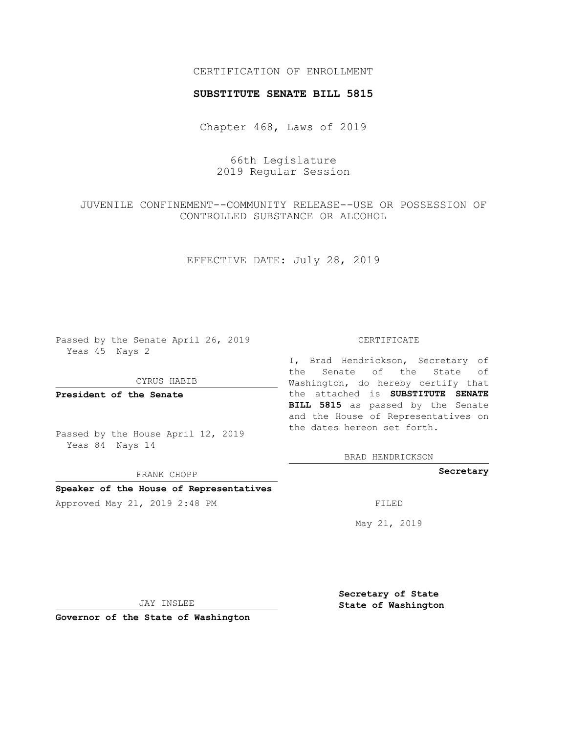## CERTIFICATION OF ENROLLMENT

#### **SUBSTITUTE SENATE BILL 5815**

Chapter 468, Laws of 2019

# 66th Legislature 2019 Regular Session

# JUVENILE CONFINEMENT--COMMUNITY RELEASE--USE OR POSSESSION OF CONTROLLED SUBSTANCE OR ALCOHOL

## EFFECTIVE DATE: July 28, 2019

Passed by the Senate April 26, 2019 Yeas 45 Nays 2

#### CYRUS HABIB

**President of the Senate**

Passed by the House April 12, 2019 Yeas 84 Nays 14

FRANK CHOPP

#### **Speaker of the House of Representatives**

Approved May 21, 2019 2:48 PM

#### CERTIFICATE

I, Brad Hendrickson, Secretary of the Senate of the State of Washington, do hereby certify that the attached is **SUBSTITUTE SENATE BILL 5815** as passed by the Senate and the House of Representatives on the dates hereon set forth.

BRAD HENDRICKSON

**Secretary**

May 21, 2019

JAY INSLEE

**Governor of the State of Washington**

**Secretary of State State of Washington**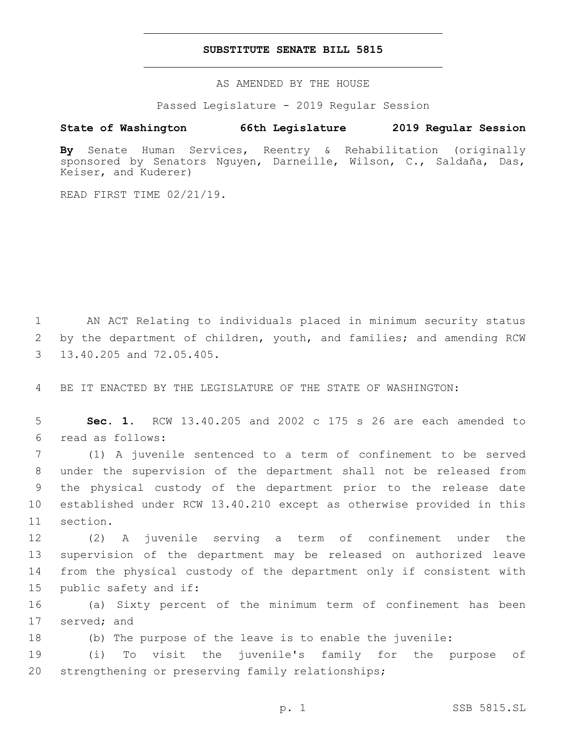#### **SUBSTITUTE SENATE BILL 5815**

AS AMENDED BY THE HOUSE

Passed Legislature - 2019 Regular Session

## **State of Washington 66th Legislature 2019 Regular Session**

**By** Senate Human Services, Reentry & Rehabilitation (originally sponsored by Senators Nguyen, Darneille, Wilson, C., Saldaña, Das, Keiser, and Kuderer)

READ FIRST TIME 02/21/19.

1 AN ACT Relating to individuals placed in minimum security status 2 by the department of children, youth, and families; and amending RCW 3 13.40.205 and 72.05.405.

4 BE IT ENACTED BY THE LEGISLATURE OF THE STATE OF WASHINGTON:

5 **Sec. 1.** RCW 13.40.205 and 2002 c 175 s 26 are each amended to read as follows:6

 (1) A juvenile sentenced to a term of confinement to be served under the supervision of the department shall not be released from the physical custody of the department prior to the release date established under RCW 13.40.210 except as otherwise provided in this 11 section.

 (2) A juvenile serving a term of confinement under the supervision of the department may be released on authorized leave from the physical custody of the department only if consistent with 15 public safety and if:

16 (a) Sixty percent of the minimum term of confinement has been 17 served; and

18 (b) The purpose of the leave is to enable the juvenile:

19 (i) To visit the juvenile's family for the purpose of 20 strengthening or preserving family relationships;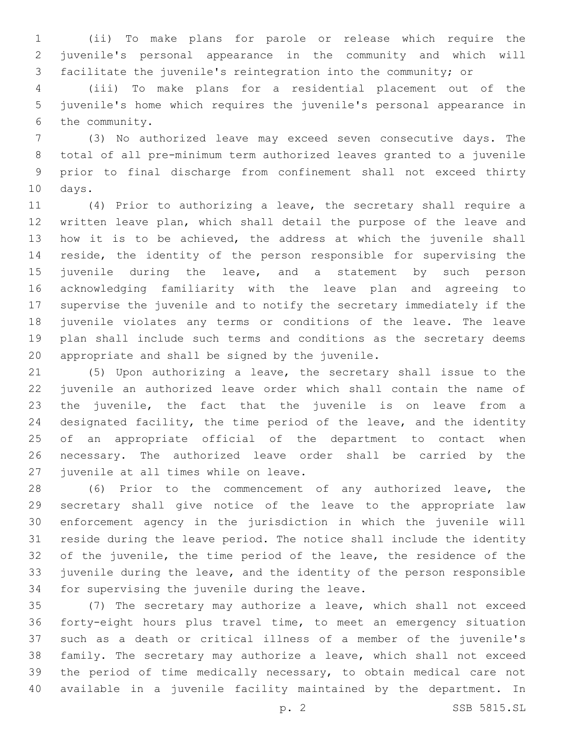(ii) To make plans for parole or release which require the juvenile's personal appearance in the community and which will facilitate the juvenile's reintegration into the community; or

 (iii) To make plans for a residential placement out of the juvenile's home which requires the juvenile's personal appearance in 6 the community.

 (3) No authorized leave may exceed seven consecutive days. The total of all pre-minimum term authorized leaves granted to a juvenile prior to final discharge from confinement shall not exceed thirty 10 days.

 (4) Prior to authorizing a leave, the secretary shall require a written leave plan, which shall detail the purpose of the leave and how it is to be achieved, the address at which the juvenile shall reside, the identity of the person responsible for supervising the juvenile during the leave, and a statement by such person acknowledging familiarity with the leave plan and agreeing to supervise the juvenile and to notify the secretary immediately if the juvenile violates any terms or conditions of the leave. The leave plan shall include such terms and conditions as the secretary deems appropriate and shall be signed by the juvenile.

 (5) Upon authorizing a leave, the secretary shall issue to the juvenile an authorized leave order which shall contain the name of the juvenile, the fact that the juvenile is on leave from a 24 designated facility, the time period of the leave, and the identity of an appropriate official of the department to contact when necessary. The authorized leave order shall be carried by the 27 juvenile at all times while on leave.

 (6) Prior to the commencement of any authorized leave, the secretary shall give notice of the leave to the appropriate law enforcement agency in the jurisdiction in which the juvenile will reside during the leave period. The notice shall include the identity of the juvenile, the time period of the leave, the residence of the juvenile during the leave, and the identity of the person responsible 34 for supervising the juvenile during the leave.

 (7) The secretary may authorize a leave, which shall not exceed forty-eight hours plus travel time, to meet an emergency situation such as a death or critical illness of a member of the juvenile's family. The secretary may authorize a leave, which shall not exceed the period of time medically necessary, to obtain medical care not available in a juvenile facility maintained by the department. In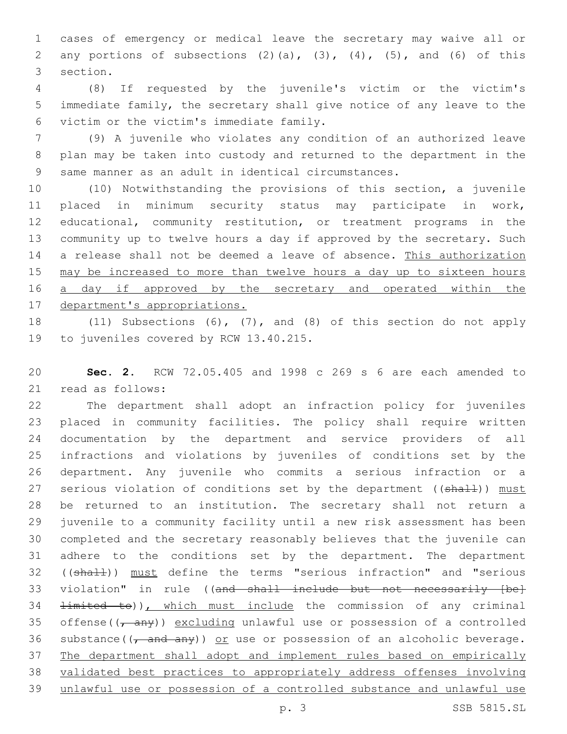cases of emergency or medical leave the secretary may waive all or 2 any portions of subsections  $(2)$   $(a)$ ,  $(3)$ ,  $(4)$ ,  $(5)$ , and  $(6)$  of this 3 section.

 (8) If requested by the juvenile's victim or the victim's immediate family, the secretary shall give notice of any leave to the victim or the victim's immediate family.6

 (9) A juvenile who violates any condition of an authorized leave plan may be taken into custody and returned to the department in the same manner as an adult in identical circumstances.

 (10) Notwithstanding the provisions of this section, a juvenile placed in minimum security status may participate in work, educational, community restitution, or treatment programs in the community up to twelve hours a day if approved by the secretary. Such 14 a release shall not be deemed a leave of absence. This authorization may be increased to more than twelve hours a day up to sixteen hours 16 <u>a day if approved by the secretary and operated within the</u> department's appropriations.

 (11) Subsections (6), (7), and (8) of this section do not apply 19 to juveniles covered by RCW 13.40.215.

 **Sec. 2.** RCW 72.05.405 and 1998 c 269 s 6 are each amended to 21 read as follows:

 The department shall adopt an infraction policy for juveniles placed in community facilities. The policy shall require written documentation by the department and service providers of all infractions and violations by juveniles of conditions set by the department. Any juvenile who commits a serious infraction or a 27 serious violation of conditions set by the department ((shall)) must be returned to an institution. The secretary shall not return a juvenile to a community facility until a new risk assessment has been completed and the secretary reasonably believes that the juvenile can adhere to the conditions set by the department. The department 32 ((shall)) must define the terms "serious infraction" and "serious 33 violation" in rule ((and shall include but not necessarily [be] 34 <del>limited to</del>)), which must include the commission of any criminal 35 offense( $(\tau$  any)) excluding unlawful use or possession of a controlled 36 substance( $\frac{1}{1}$  and any)) or use or possession of an alcoholic beverage. The department shall adopt and implement rules based on empirically validated best practices to appropriately address offenses involving unlawful use or possession of a controlled substance and unlawful use